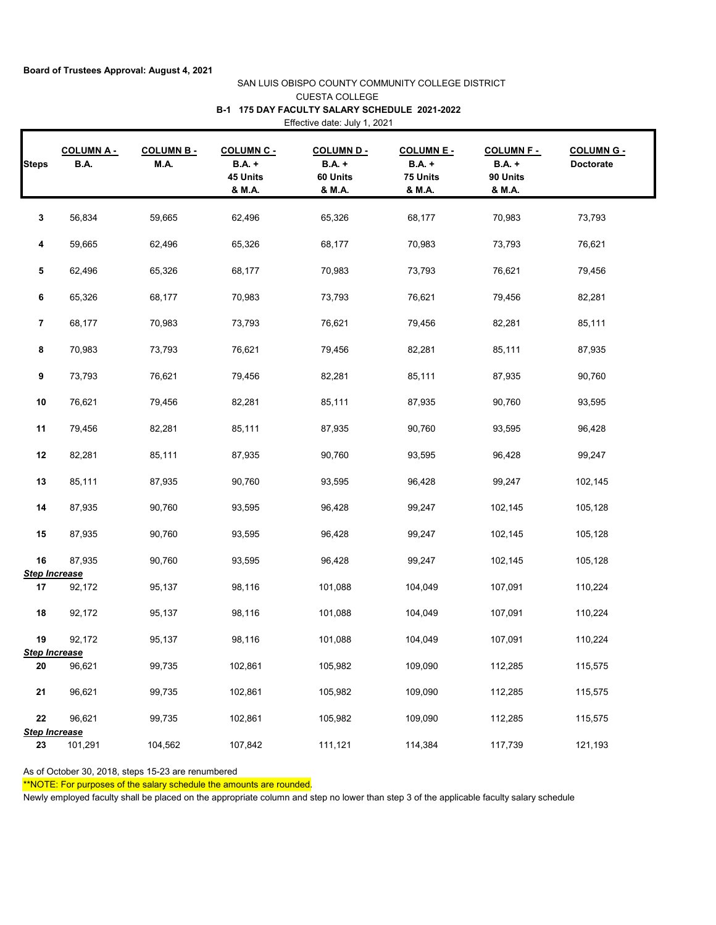## SAN LUIS OBISPO COUNTY COMMUNITY COLLEGE DISTRICT CUESTA COLLEGE Effective date: July 1, 2021 **B-1 175 DAY FACULTY SALARY SCHEDULE 2021-2022**

|                | <b>COLUMN A -</b>               | <b>COLUMN B-</b> | <b>COLUMN C -</b>              | <b>COLUMN D-</b>               | <b>COLUMN E -</b>                   | <b>COLUMN F-</b>                    | <b>COLUMN G -</b> |
|----------------|---------------------------------|------------------|--------------------------------|--------------------------------|-------------------------------------|-------------------------------------|-------------------|
| <b>Steps</b>   | B.A.                            | M.A.             | $B.A. +$<br>45 Units<br>& M.A. | $B.A. +$<br>60 Units<br>& M.A. | <b>B.A.</b> +<br>75 Units<br>& M.A. | <b>B.A.</b> +<br>90 Units<br>& M.A. | Doctorate         |
| 3              | 56,834                          | 59,665           | 62,496                         | 65,326                         | 68,177                              | 70,983                              | 73,793            |
| 4              | 59,665                          | 62,496           | 65,326                         | 68,177                         | 70,983                              | 73,793                              | 76,621            |
| 5              | 62,496                          | 65,326           | 68,177                         | 70,983                         | 73,793                              | 76,621                              | 79,456            |
| 6              | 65,326                          | 68,177           | 70,983                         | 73,793                         | 76,621                              | 79,456                              | 82,281            |
| $\overline{7}$ | 68,177                          | 70,983           | 73,793                         | 76,621                         | 79,456                              | 82,281                              | 85,111            |
| 8              | 70,983                          | 73,793           | 76,621                         | 79,456                         | 82,281                              | 85,111                              | 87,935            |
| 9              | 73,793                          | 76,621           | 79,456                         | 82,281                         | 85,111                              | 87,935                              | 90,760            |
| 10             | 76,621                          | 79,456           | 82,281                         | 85,111                         | 87,935                              | 90,760                              | 93,595            |
| 11             | 79,456                          | 82,281           | 85,111                         | 87,935                         | 90,760                              | 93,595                              | 96,428            |
| 12             | 82,281                          | 85,111           | 87,935                         | 90,760                         | 93,595                              | 96,428                              | 99,247            |
| 13             | 85,111                          | 87,935           | 90,760                         | 93,595                         | 96,428                              | 99,247                              | 102,145           |
| 14             | 87,935                          | 90,760           | 93,595                         | 96,428                         | 99,247                              | 102,145                             | 105,128           |
| 15             | 87,935                          | 90,760           | 93,595                         | 96,428                         | 99,247                              | 102,145                             | 105,128           |
| 16             | 87,935                          | 90,760           | 93,595                         | 96,428                         | 99,247                              | 102,145                             | 105,128           |
| 17             | <b>Step Increase</b><br>92,172  | 95,137           | 98,116                         | 101,088                        | 104,049                             | 107,091                             | 110,224           |
| 18             | 92,172                          | 95,137           | 98,116                         | 101,088                        | 104,049                             | 107,091                             | 110,224           |
| 19             | 92,172                          | 95,137           | 98,116                         | 101,088                        | 104,049                             | 107,091                             | 110,224           |
| 20             | <b>Step Increase</b><br>96,621  | 99,735           | 102,861                        | 105,982                        | 109,090                             | 112,285                             | 115,575           |
| 21             | 96,621                          | 99,735           | 102,861                        | 105,982                        | 109,090                             | 112,285                             | 115,575           |
| 22             | 96,621                          | 99,735           | 102,861                        | 105,982                        | 109,090                             | 112,285                             | 115,575           |
| 23             | <b>Step Increase</b><br>101,291 | 104,562          | 107,842                        | 111,121                        | 114,384                             | 117,739                             | 121,193           |

As of October 30, 2018, steps 15-23 are renumbered

\*\*NOTE: For purposes of the salary schedule the amounts are rounded.

Newly employed faculty shall be placed on the appropriate column and step no lower than step 3 of the applicable faculty salary schedule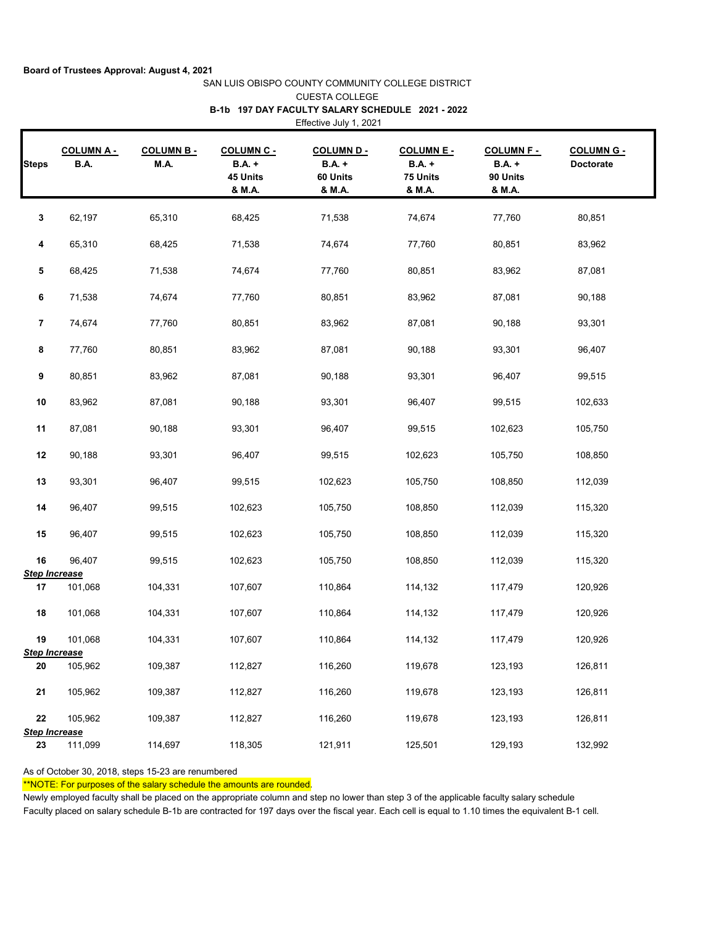|                                |                                 |                          |                                                          | <b>CUESTA COLLEGE</b>                                                      |                                                          |                                                          |                                |
|--------------------------------|---------------------------------|--------------------------|----------------------------------------------------------|----------------------------------------------------------------------------|----------------------------------------------------------|----------------------------------------------------------|--------------------------------|
|                                |                                 |                          |                                                          | B-1b 197 DAY FACULTY SALARY SCHEDULE 2021 - 2022<br>Effective July 1, 2021 |                                                          |                                                          |                                |
| <b>Steps</b>                   | <b>COLUMNA-</b><br><b>B.A.</b>  | <b>COLUMN B-</b><br>M.A. | <b>COLUMN C -</b><br><b>B.A.</b> +<br>45 Units<br>& M.A. | <b>COLUMN D -</b><br><b>B.A.</b> +<br>60 Units<br>& M.A.                   | <b>COLUMN E -</b><br><b>B.A.</b> +<br>75 Units<br>& M.A. | <b>COLUMN F -</b><br><b>B.A.</b> +<br>90 Units<br>& M.A. | <b>COLUMN G -</b><br>Doctorate |
| 3                              | 62,197                          | 65,310                   | 68,425                                                   | 71,538                                                                     | 74,674                                                   | 77,760                                                   | 80,851                         |
| 4                              | 65,310                          | 68,425                   | 71,538                                                   | 74,674                                                                     | 77,760                                                   | 80,851                                                   | 83,962                         |
| 5                              | 68,425                          | 71,538                   | 74,674                                                   | 77,760                                                                     | 80,851                                                   | 83,962                                                   | 87,081                         |
| 6                              | 71,538                          | 74,674                   | 77,760                                                   | 80,851                                                                     | 83,962                                                   | 87,081                                                   | 90,188                         |
| 7                              | 74,674                          | 77,760                   | 80,851                                                   | 83,962                                                                     | 87,081                                                   | 90,188                                                   | 93,301                         |
| 8                              | 77,760                          | 80,851                   | 83,962                                                   | 87,081                                                                     | 90,188                                                   | 93,301                                                   | 96,407                         |
| 9                              | 80,851                          | 83,962                   | 87,081                                                   | 90,188                                                                     | 93,301                                                   | 96,407                                                   | 99,515                         |
| 10                             | 83,962                          | 87,081                   | 90,188                                                   | 93,301                                                                     | 96,407                                                   | 99,515                                                   | 102,633                        |
| 11                             | 87,081                          | 90,188                   | 93,301                                                   | 96,407                                                                     | 99,515                                                   | 102,623                                                  | 105,750                        |
| 12                             | 90,188                          | 93,301                   | 96,407                                                   | 99,515                                                                     | 102,623                                                  | 105,750                                                  | 108,850                        |
| 13                             | 93,301                          | 96,407                   | 99,515                                                   | 102,623                                                                    | 105,750                                                  | 108,850                                                  | 112,039                        |
| 14                             | 96,407                          | 99,515                   | 102,623                                                  | 105,750                                                                    | 108,850                                                  | 112,039                                                  | 115,320                        |
| 15                             | 96,407                          | 99,515                   | 102,623                                                  | 105,750                                                                    | 108,850                                                  | 112,039                                                  | 115,320                        |
| $16\,$<br><b>Step Increase</b> | 96,407                          | 99,515                   | 102,623                                                  | 105,750                                                                    | 108,850                                                  | 112,039                                                  | 115,320                        |
| 17                             | 101,068                         | 104,331                  | 107,607                                                  | 110,864                                                                    | 114,132                                                  | 117,479                                                  | 120,926                        |
| 18                             | 101,068                         | 104,331                  | 107,607                                                  | 110,864                                                                    | 114,132                                                  | 117,479                                                  | 120,926                        |
| 19<br><b>Step Increase</b>     | 101,068                         | 104,331                  | 107,607                                                  | 110,864                                                                    | 114,132                                                  | 117,479                                                  | 120,926                        |
| 20                             | 105,962                         | 109,387                  | 112,827                                                  | 116,260                                                                    | 119,678                                                  | 123,193                                                  | 126,811                        |
| 21                             | 105,962                         | 109,387                  | 112,827                                                  | 116,260                                                                    | 119,678                                                  | 123,193                                                  | 126,811                        |
| 22                             | 105,962<br><b>Step Increase</b> | 109,387                  | 112,827                                                  | 116,260                                                                    | 119,678                                                  | 123,193                                                  | 126,811                        |
| 23                             | 111,099                         | 114,697                  | 118,305                                                  | 121,911                                                                    | 125,501                                                  | 129,193                                                  | 132,992                        |

SAN LUIS OBISPO COUNTY COMMUNITY COLLEGE DISTRICT

As of October 30, 2018, steps 15-23 are renumbered

\*\*NOTE: For purposes of the salary schedule the amounts are rounded.

Newly employed faculty shall be placed on the appropriate column and step no lower than step 3 of the applicable faculty salary schedule Faculty placed on salary schedule B-1b are contracted for 197 days over the fiscal year. Each cell is equal to 1.10 times the equivalent B-1 cell.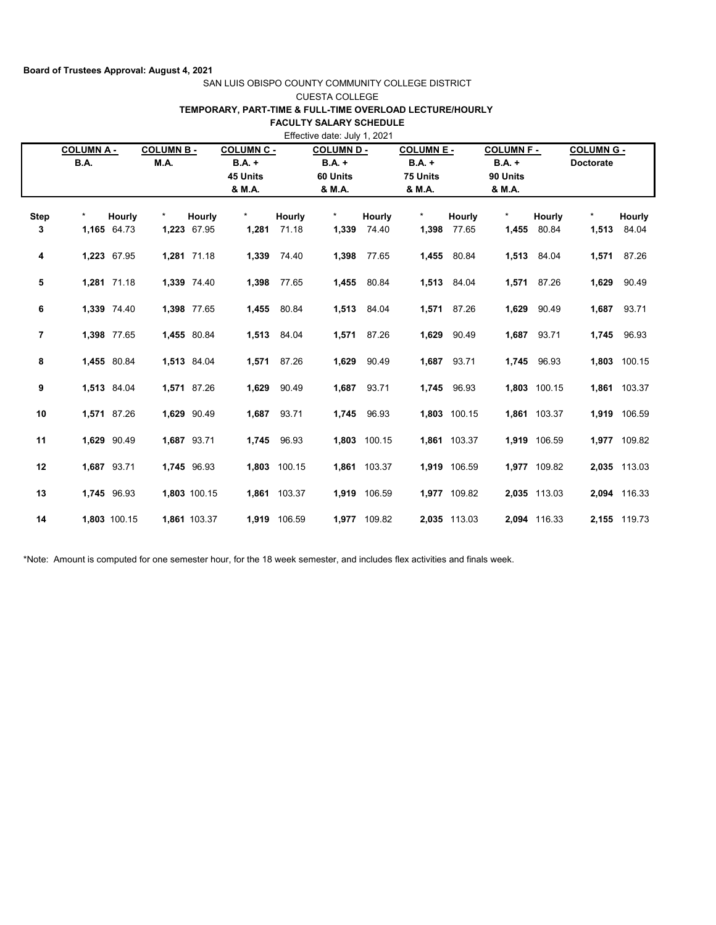### SAN LUIS OBISPO COUNTY COMMUNITY COLLEGE DISTRICT CUESTA COLLEGE

# **TEMPORARY, PART-TIME & FULL-TIME OVERLOAD LECTURE/HOURLY**

**FACULTY SALARY SCHEDULE** 

| Effective date: July 1, 2021 |                                 |                       |                          |                              |                                                          |                       |                                                   |                 |                                                     |                 |                                                     |                 |                                       |                 |
|------------------------------|---------------------------------|-----------------------|--------------------------|------------------------------|----------------------------------------------------------|-----------------------|---------------------------------------------------|-----------------|-----------------------------------------------------|-----------------|-----------------------------------------------------|-----------------|---------------------------------------|-----------------|
|                              | <b>COLUMN A-</b><br><b>B.A.</b> |                       | <b>COLUMN B-</b><br>M.A. |                              | <b>COLUMN C -</b><br><b>B.A.</b> +<br>45 Units<br>& M.A. |                       | <b>COLUMN D-</b><br>$BA. +$<br>60 Units<br>& M.A. |                 | <b>COLUMN E -</b><br>$B.A. +$<br>75 Units<br>& M.A. |                 | <b>COLUMN F -</b><br>$B.A. +$<br>90 Units<br>& M.A. |                 | <b>COLUMN G -</b><br><b>Doctorate</b> |                 |
| <b>Step</b><br>3             | $\star$                         | Hourly<br>1,165 64.73 | $\star$                  | <b>Hourly</b><br>1,223 67.95 | $\star$                                                  | Hourly<br>1,281 71.18 | $\star$<br>1,339                                  | Hourly<br>74.40 | $\star$<br>1,398                                    | Hourly<br>77.65 | $\star$<br>1,455                                    | Hourly<br>80.84 | $\star$<br>1,513                      | Hourly<br>84.04 |
| 4                            |                                 | 1,223 67.95           |                          | 1,281 71.18                  |                                                          | 1,339 74.40           | 1,398                                             | 77.65           | 1,455                                               | 80.84           | 1,513                                               | 84.04           | 1,571                                 | 87.26           |
| 5                            |                                 | 1,281 71.18           |                          | 1,339 74.40                  | 1,398                                                    | 77.65                 | 1,455                                             | 80.84           |                                                     | 1,513 84.04     | 1,571                                               | 87.26           | 1,629                                 | 90.49           |
| 6                            |                                 | 1,339 74.40           |                          | 1,398 77.65                  | 1,455                                                    | 80.84                 | 1,513                                             | 84.04           |                                                     | 1,571 87.26     | 1,629                                               | 90.49           | 1,687                                 | 93.71           |
| 7                            |                                 | 1,398 77.65           |                          | 1,455 80.84                  | 1,513                                                    | 84.04                 | 1,571                                             | 87.26           | 1,629                                               | 90.49           |                                                     | 1,687 93.71     | 1,745                                 | 96.93           |
| 8                            |                                 | 1,455 80.84           |                          | 1,513 84.04                  |                                                          | 1,571 87.26           | 1,629                                             | 90.49           | 1,687                                               | 93.71           | 1,745                                               | 96.93           | 1,803                                 | 100.15          |
| 9                            |                                 | 1,513 84.04           |                          | 1,571 87.26                  | 1,629                                                    | 90.49                 | 1,687                                             | 93.71           | 1,745                                               | 96.93           |                                                     | 1,803 100.15    |                                       | 1,861 103.37    |
| 10                           |                                 | 1,571 87.26           |                          | 1,629 90.49                  | 1,687                                                    | 93.71                 | 1,745                                             | 96.93           |                                                     | 1,803 100.15    |                                                     | 1,861 103.37    |                                       | 1,919 106.59    |
| 11                           |                                 | 1,629 90.49           |                          | 1,687 93.71                  | 1,745                                                    | 96.93                 |                                                   | 1,803 100.15    |                                                     | 1,861 103.37    |                                                     | 1,919 106.59    |                                       | 1,977 109.82    |
| 12                           |                                 | 1,687 93.71           |                          | 1.745 96.93                  |                                                          | 1,803 100.15          |                                                   | 1,861 103.37    |                                                     | 1,919 106.59    |                                                     | 1,977 109.82    |                                       | 2,035 113.03    |
| 13                           |                                 | 1,745 96.93           |                          | 1,803 100.15                 |                                                          | 1,861 103.37          |                                                   | 1,919 106.59    |                                                     | 1,977 109.82    |                                                     | 2,035 113.03    | 2,094                                 | 116.33          |
| 14                           |                                 | 1,803 100.15          |                          | 1,861 103.37                 |                                                          | 1,919 106.59          |                                                   | 1,977 109.82    |                                                     | 2,035 113.03    |                                                     | 2,094 116.33    |                                       | 2,155 119.73    |

\*Note: Amount is computed for one semester hour, for the 18 week semester, and includes flex activities and finals week.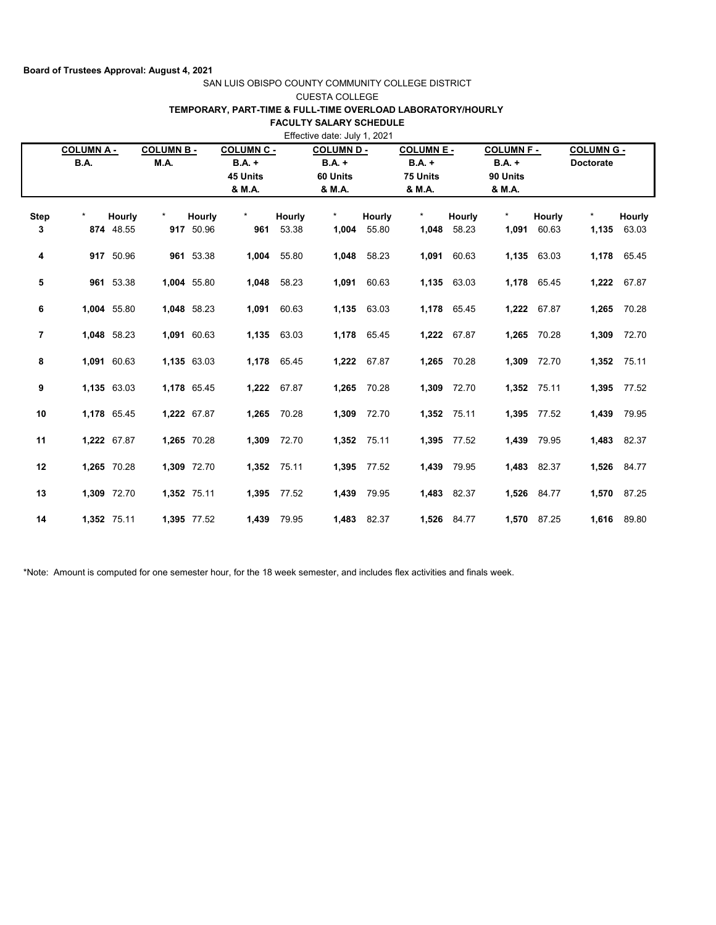# SAN LUIS OBISPO COUNTY COMMUNITY COLLEGE DISTRICT

## CUESTA COLLEGE

# **TEMPORARY, PART-TIME & FULL-TIME OVERLOAD LABORATORY/HOURLY**

# **FACULTY SALARY SCHEDULE**

|                | <b>COLUMN A -</b> |             | <b>COLUMN B-</b> |             | <b>COLUMN C -</b> |             | Effective date: July 1, 2021<br><b>COLUMN D -</b> |        | <b>COLUMN E -</b> |             | <b>COLUMN F-</b> |             | <b>COLUMN G -</b> |             |
|----------------|-------------------|-------------|------------------|-------------|-------------------|-------------|---------------------------------------------------|--------|-------------------|-------------|------------------|-------------|-------------------|-------------|
|                | <b>B.A.</b>       |             | M.A.             |             | <b>B.A.</b> +     |             | <b>B.A.</b> +                                     |        | $B.A. +$          |             | $B.A. +$         |             | <b>Doctorate</b>  |             |
|                |                   |             |                  |             | 45 Units          |             | 60 Units                                          |        | 75 Units          |             | 90 Units         |             |                   |             |
|                |                   |             |                  |             | & M.A.            |             | & M.A.                                            |        | & M.A.            |             | & M.A.           |             |                   |             |
| <b>Step</b>    | $\star$           | Hourly      | $\star$          | Hourly      | $\star$           | Hourly      | $\star$                                           | Hourly | $\star$           | Hourly      | $\star$          | Hourly      | $\star$           | Hourly      |
| 3              |                   | 874 48.55   |                  | 917 50.96   | 961               | 53.38       | 1,004                                             | 55.80  | 1,048             | 58.23       | 1,091            | 60.63       | 1,135             | 63.03       |
| 4              |                   | 917 50.96   |                  | 961 53.38   | 1,004             | 55.80       | 1,048                                             | 58.23  | 1,091             | 60.63       |                  | 1,135 63.03 |                   | 1,178 65.45 |
| 5              |                   | 961 53.38   |                  | 1,004 55.80 | 1,048             | 58.23       | 1,091                                             | 60.63  |                   | 1,135 63.03 |                  | 1,178 65.45 | 1,222             | 67.87       |
| 6              |                   | 1,004 55.80 |                  | 1,048 58.23 | 1,091             | 60.63       | 1,135                                             | 63.03  |                   | 1,178 65.45 |                  | 1,222 67.87 | 1,265             | 70.28       |
| $\overline{7}$ |                   | 1,048 58.23 |                  | 1,091 60.63 | 1,135             | 63.03       | 1,178                                             | 65.45  | 1,222             | 67.87       | 1,265            | 70.28       | 1,309             | 72.70       |
| 8              |                   | 1,091 60.63 |                  | 1,135 63.03 | 1,178             | 65.45       | 1,222                                             | 67.87  | 1,265             | 70.28       | 1,309            | 72.70       |                   | 1,352 75.11 |
| 9              |                   | 1,135 63.03 |                  | 1,178 65.45 | 1,222             | 67.87       | 1,265                                             | 70.28  | 1,309             | 72.70       |                  | 1,352 75.11 | 1,395             | 77.52       |
| 10             |                   | 1,178 65.45 |                  | 1,222 67.87 | 1,265             | 70.28       | 1,309                                             | 72.70  | 1,352             | 75.11       |                  | 1,395 77.52 | 1,439             | 79.95       |
| 11             |                   | 1,222 67.87 |                  | 1,265 70.28 | 1,309             | 72.70       | 1,352                                             | 75.11  | 1,395             | 77.52       | 1,439            | 79.95       | 1,483             | 82.37       |
| 12             |                   | 1,265 70.28 |                  | 1,309 72.70 | 1,352             | 75.11       | 1,395                                             | 77.52  | 1,439             | 79.95       | 1,483            | 82.37       |                   | 1,526 84.77 |
| 13             |                   | 1,309 72.70 |                  | 1,352 75.11 |                   | 1,395 77.52 | 1,439                                             | 79.95  | 1,483             | 82.37       |                  | 1,526 84.77 |                   | 1,570 87.25 |
| 14             |                   | 1,352 75.11 |                  | 1,395 77.52 | 1,439             | 79.95       | 1,483                                             | 82.37  |                   | 1,526 84.77 |                  | 1,570 87.25 |                   | 1,616 89.80 |

\*Note: Amount is computed for one semester hour, for the 18 week semester, and includes flex activities and finals week.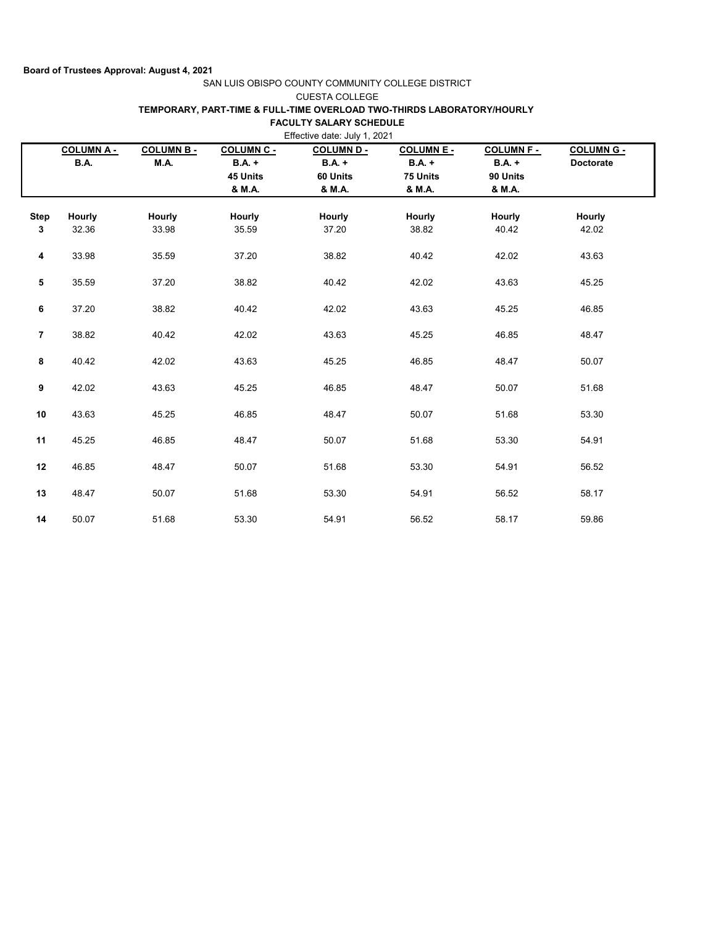## SAN LUIS OBISPO COUNTY COMMUNITY COLLEGE DISTRICT

### CUESTA COLLEGE

## **TEMPORARY, PART-TIME & FULL-TIME OVERLOAD TWO-THIRDS LABORATORY/HOURLY**

### **FACULTY SALARY SCHEDULE**

|                  | <b>COLUMNA-</b><br><b>B.A.</b> | <b>COLUMN B-</b><br>M.A. | COLUMN C -<br>$B.A. +$ | <b>COLUMN D -</b><br>$B.A. +$ | <b>COLUMN E -</b><br>$B.A. +$ | <b>COLUMN F-</b><br>$B.A. +$ | <b>COLUMN G -</b><br><b>Doctorate</b> |  |
|------------------|--------------------------------|--------------------------|------------------------|-------------------------------|-------------------------------|------------------------------|---------------------------------------|--|
|                  |                                |                          | 45 Units<br>& M.A.     | 60 Units<br>& M.A.            | 75 Units<br>& M.A.            | 90 Units<br>& M.A.           |                                       |  |
| <b>Step</b><br>3 | Hourly<br>32.36                | Hourly<br>33.98          | <b>Hourly</b><br>35.59 | Hourly<br>37.20               | Hourly<br>38.82               | Hourly<br>40.42              | Hourly<br>42.02                       |  |
| 4                | 33.98                          | 35.59                    | 37.20                  | 38.82                         | 40.42                         | 42.02                        | 43.63                                 |  |
| 5                | 35.59                          | 37.20                    | 38.82                  | 40.42                         | 42.02                         | 43.63                        | 45.25                                 |  |
| 6                | 37.20                          | 38.82                    | 40.42                  | 42.02                         | 43.63                         | 45.25                        | 46.85                                 |  |
| $\overline{7}$   | 38.82                          | 40.42                    | 42.02                  | 43.63                         | 45.25                         | 46.85                        | 48.47                                 |  |
| 8                | 40.42                          | 42.02                    | 43.63                  | 45.25                         | 46.85                         | 48.47                        | 50.07                                 |  |
| $\boldsymbol{9}$ | 42.02                          | 43.63                    | 45.25                  | 46.85                         | 48.47                         | 50.07                        | 51.68                                 |  |
| 10               | 43.63                          | 45.25                    | 46.85                  | 48.47                         | 50.07                         | 51.68                        | 53.30                                 |  |
| 11               | 45.25                          | 46.85                    | 48.47                  | 50.07                         | 51.68                         | 53.30                        | 54.91                                 |  |
| 12               | 46.85                          | 48.47                    | 50.07                  | 51.68                         | 53.30                         | 54.91                        | 56.52                                 |  |
| 13               | 48.47                          | 50.07                    | 51.68                  | 53.30                         | 54.91                         | 56.52                        | 58.17                                 |  |
| 14               | 50.07                          | 51.68                    | 53.30                  | 54.91                         | 56.52                         | 58.17                        | 59.86                                 |  |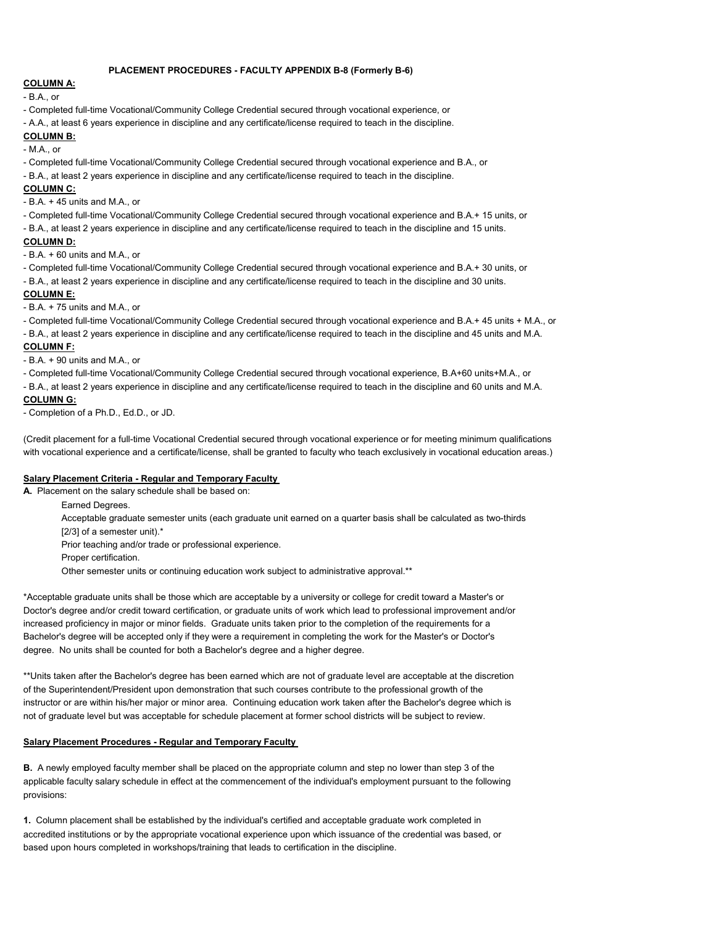#### **PLACEMENT PROCEDURES - FACULTY APPENDIX B-8 (Formerly B-6)**

## **COLUMN A:**

- B.A., or

- Completed full-time Vocational/Community College Credential secured through vocational experience, or

- A.A., at least 6 years experience in discipline and any certificate/license required to teach in the discipline.

### **COLUMN B:**

- M.A., or

- Completed full-time Vocational/Community College Credential secured through vocational experience and B.A., or

- B.A., at least 2 years experience in discipline and any certificate/license required to teach in the discipline.

### **COLUMN C:**

- B.A. + 45 units and M.A., or

- Completed full-time Vocational/Community College Credential secured through vocational experience and B.A.+ 15 units, or

- B.A., at least 2 years experience in discipline and any certificate/license required to teach in the discipline and 15 units.

#### **COLUMN D:**

- B.A. + 60 units and M.A., or

- Completed full-time Vocational/Community College Credential secured through vocational experience and B.A.+ 30 units, or

- B.A., at least 2 years experience in discipline and any certificate/license required to teach in the discipline and 30 units.

### **COLUMN E:**

- B.A. + 75 units and M.A., or

- Completed full-time Vocational/Community College Credential secured through vocational experience and B.A.+ 45 units + M.A., or

- B.A., at least 2 years experience in discipline and any certificate/license required to teach in the discipline and 45 units and M.A.

### **COLUMN F:**

- B.A. + 90 units and M.A., or

- Completed full-time Vocational/Community College Credential secured through vocational experience, B.A+60 units+M.A., or

- B.A., at least 2 years experience in discipline and any certificate/license required to teach in the discipline and 60 units and M.A.

# **COLUMN G:**

- Completion of a Ph.D., Ed.D., or JD.

(Credit placement for a full-time Vocational Credential secured through vocational experience or for meeting minimum qualifications with vocational experience and a certificate/license, shall be granted to faculty who teach exclusively in vocational education areas.)

#### **Salary Placement Criteria - Regular and Temporary Faculty**

**A.** Placement on the salary schedule shall be based on:

Earned Degrees.

Acceptable graduate semester units (each graduate unit earned on a quarter basis shall be calculated as two-thirds [2/3] of a semester unit).\*

Prior teaching and/or trade or professional experience.

Proper certification.

Other semester units or continuing education work subject to administrative approval.\*\*

\*Acceptable graduate units shall be those which are acceptable by a university or college for credit toward a Master's or Doctor's degree and/or credit toward certification, or graduate units of work which lead to professional improvement and/or increased proficiency in major or minor fields. Graduate units taken prior to the completion of the requirements for a Bachelor's degree will be accepted only if they were a requirement in completing the work for the Master's or Doctor's degree. No units shall be counted for both a Bachelor's degree and a higher degree.

\*\*Units taken after the Bachelor's degree has been earned which are not of graduate level are acceptable at the discretion of the Superintendent/President upon demonstration that such courses contribute to the professional growth of the instructor or are within his/her major or minor area. Continuing education work taken after the Bachelor's degree which is not of graduate level but was acceptable for schedule placement at former school districts will be subject to review.

#### **Salary Placement Procedures - Regular and Temporary Faculty**

**B.** A newly employed faculty member shall be placed on the appropriate column and step no lower than step 3 of the applicable faculty salary schedule in effect at the commencement of the individual's employment pursuant to the following provisions:

**1.** Column placement shall be established by the individual's certified and acceptable graduate work completed in accredited institutions or by the appropriate vocational experience upon which issuance of the credential was based, or based upon hours completed in workshops/training that leads to certification in the discipline.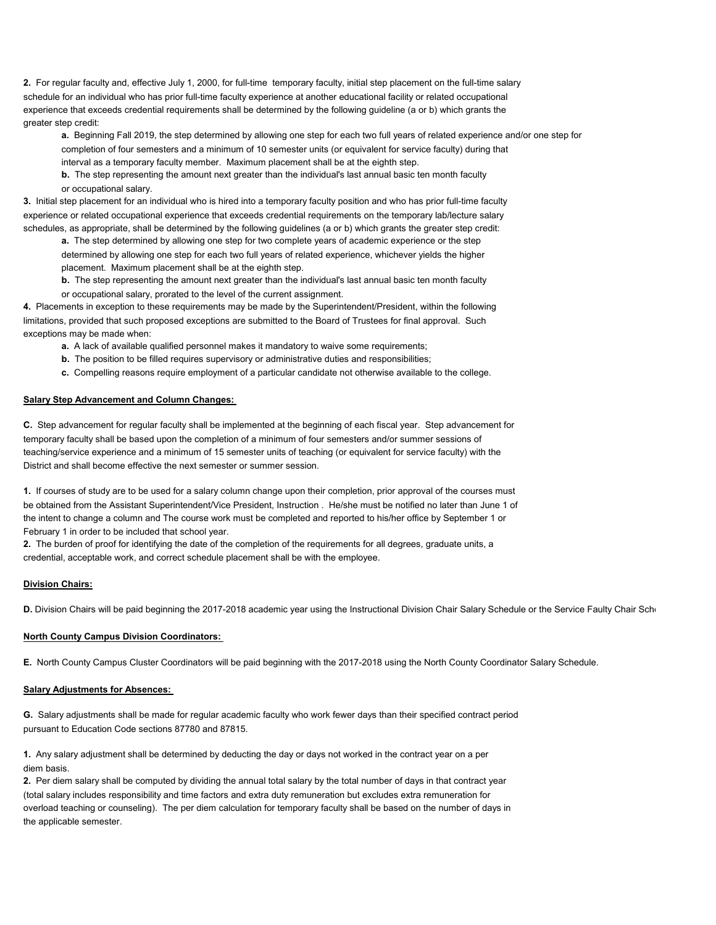**2.** For regular faculty and, effective July 1, 2000, for full-time temporary faculty, initial step placement on the full-time salary schedule for an individual who has prior full-time faculty experience at another educational facility or related occupational experience that exceeds credential requirements shall be determined by the following guideline (a or b) which grants the greater step credit:

**a.** Beginning Fall 2019, the step determined by allowing one step for each two full years of related experience and/or one step for completion of four semesters and a minimum of 10 semester units (or equivalent for service faculty) during that interval as a temporary faculty member. Maximum placement shall be at the eighth step.

**b.** The step representing the amount next greater than the individual's last annual basic ten month faculty or occupational salary.

**3.** Initial step placement for an individual who is hired into a temporary faculty position and who has prior full-time faculty experience or related occupational experience that exceeds credential requirements on the temporary lab/lecture salary schedules, as appropriate, shall be determined by the following guidelines (a or b) which grants the greater step credit:

- **a.** The step determined by allowing one step for two complete years of academic experience or the step determined by allowing one step for each two full years of related experience, whichever yields the higher placement. Maximum placement shall be at the eighth step.
- **b.** The step representing the amount next greater than the individual's last annual basic ten month faculty or occupational salary, prorated to the level of the current assignment.

**4.** Placements in exception to these requirements may be made by the Superintendent/President, within the following limitations, provided that such proposed exceptions are submitted to the Board of Trustees for final approval. Such exceptions may be made when:

- **a.** A lack of available qualified personnel makes it mandatory to waive some requirements;
- **b.** The position to be filled requires supervisory or administrative duties and responsibilities;
- **c.** Compelling reasons require employment of a particular candidate not otherwise available to the college.

### **Salary Step Advancement and Column Changes:**

**C.** Step advancement for regular faculty shall be implemented at the beginning of each fiscal year. Step advancement for temporary faculty shall be based upon the completion of a minimum of four semesters and/or summer sessions of teaching/service experience and a minimum of 15 semester units of teaching (or equivalent for service faculty) with the District and shall become effective the next semester or summer session.

**1.** If courses of study are to be used for a salary column change upon their completion, prior approval of the courses must be obtained from the Assistant Superintendent/Vice President, Instruction . He/she must be notified no later than June 1 of the intent to change a column and The course work must be completed and reported to his/her office by September 1 or February 1 in order to be included that school year.

**2.** The burden of proof for identifying the date of the completion of the requirements for all degrees, graduate units, a credential, acceptable work, and correct schedule placement shall be with the employee.

#### **Division Chairs:**

D. Division Chairs will be paid beginning the 2017-2018 academic year using the Instructional Division Chair Salary Schedule or the Service Faulty Chair Sche

#### **North County Campus Division Coordinators:**

**E.** North County Campus Cluster Coordinators will be paid beginning with the 2017-2018 using the North County Coordinator Salary Schedule.

#### **Salary Adjustments for Absences:**

**G.** Salary adjustments shall be made for regular academic faculty who work fewer days than their specified contract period pursuant to Education Code sections 87780 and 87815.

**1.** Any salary adjustment shall be determined by deducting the day or days not worked in the contract year on a per diem basis.

**2.** Per diem salary shall be computed by dividing the annual total salary by the total number of days in that contract year (total salary includes responsibility and time factors and extra duty remuneration but excludes extra remuneration for overload teaching or counseling). The per diem calculation for temporary faculty shall be based on the number of days in the applicable semester.